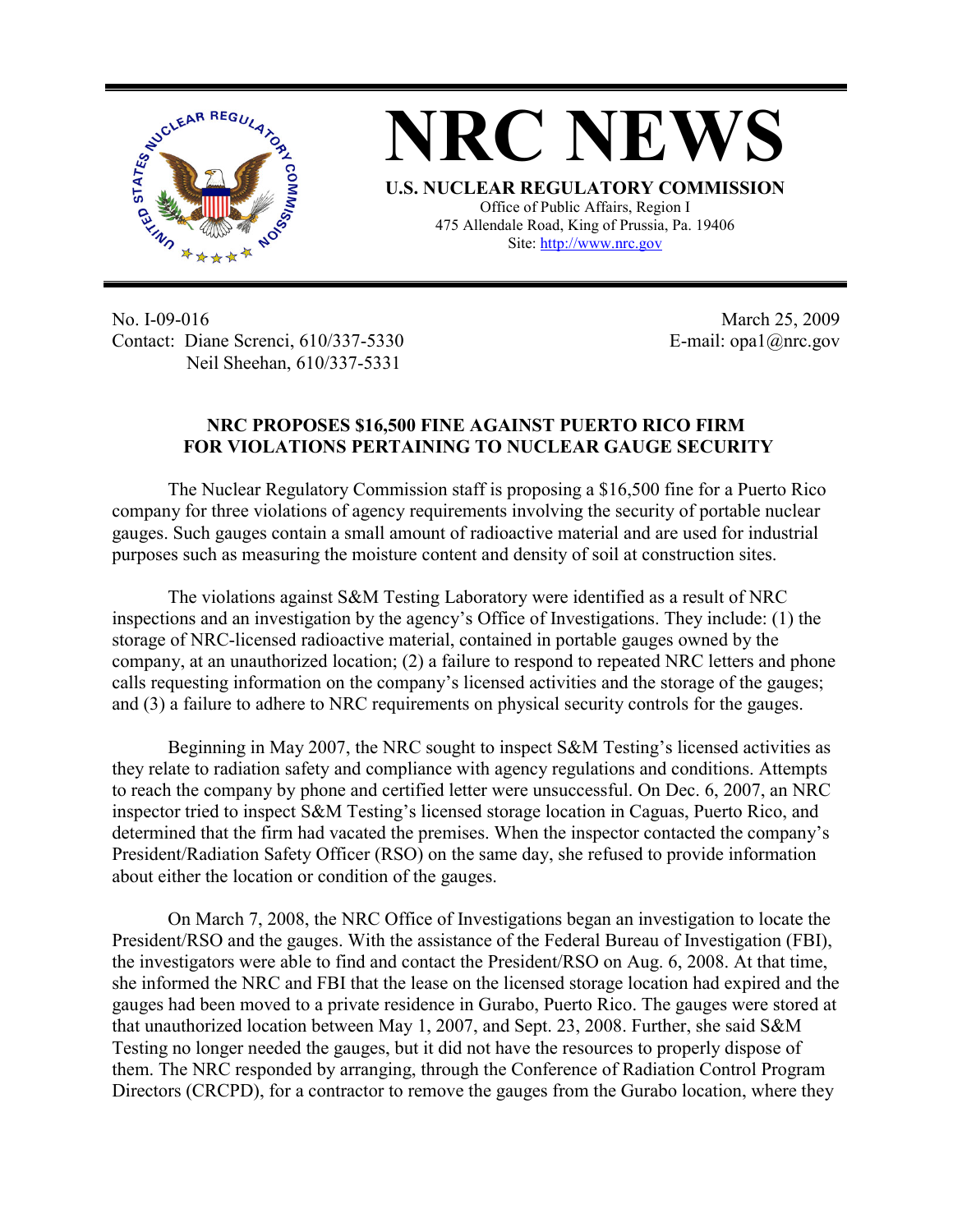

**NRC NEWS U.S. NUCLEAR REGULATORY COMMISSION** Office of Public Affairs, Region I 475 Allendale Road, King of Prussia, Pa. 19406

Site: http://www.nrc.gov

No. I-09-016 Contact: Diane Screnci, 610/337-5330 Neil Sheehan, 610/337-5331

March 25, 2009 E-mail: opa1@nrc.gov

## **NRC PROPOSES \$16,500 FINE AGAINST PUERTO RICO FIRM FOR VIOLATIONS PERTAINING TO NUCLEAR GAUGE SECURITY**

The Nuclear Regulatory Commission staff is proposing a \$16,500 fine for a Puerto Rico company for three violations of agency requirements involving the security of portable nuclear gauges. Such gauges contain a small amount of radioactive material and are used for industrial purposes such as measuring the moisture content and density of soil at construction sites.

The violations against S&M Testing Laboratory were identified as a result of NRC inspections and an investigation by the agency's Office of Investigations. They include: (1) the storage of NRC-licensed radioactive material, contained in portable gauges owned by the company, at an unauthorized location; (2) a failure to respond to repeated NRC letters and phone calls requesting information on the company's licensed activities and the storage of the gauges; and (3) a failure to adhere to NRC requirements on physical security controls for the gauges.

Beginning in May 2007, the NRC sought to inspect S&M Testing's licensed activities as they relate to radiation safety and compliance with agency regulations and conditions. Attempts to reach the company by phone and certified letter were unsuccessful. On Dec. 6, 2007, an NRC inspector tried to inspect S&M Testing's licensed storage location in Caguas, Puerto Rico, and determined that the firm had vacated the premises. When the inspector contacted the company's President/Radiation Safety Officer (RSO) on the same day, she refused to provide information about either the location or condition of the gauges.

On March 7, 2008, the NRC Office of Investigations began an investigation to locate the President/RSO and the gauges. With the assistance of the Federal Bureau of Investigation (FBI), the investigators were able to find and contact the President/RSO on Aug. 6, 2008. At that time, she informed the NRC and FBI that the lease on the licensed storage location had expired and the gauges had been moved to a private residence in Gurabo, Puerto Rico. The gauges were stored at that unauthorized location between May 1, 2007, and Sept. 23, 2008. Further, she said S&M Testing no longer needed the gauges, but it did not have the resources to properly dispose of them. The NRC responded by arranging, through the Conference of Radiation Control Program Directors (CRCPD), for a contractor to remove the gauges from the Gurabo location, where they